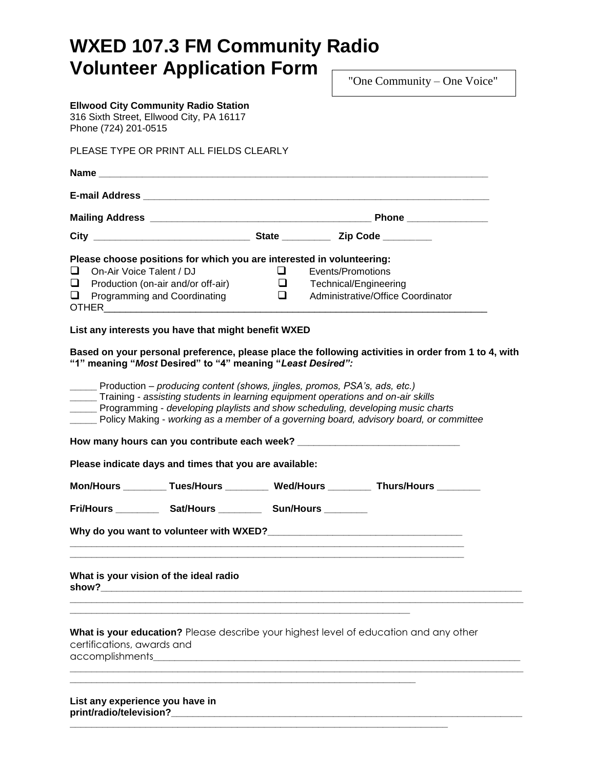# **WXED 107.3 FM Community Radio Volunteer Application Form**

"One Community – One Voice"

| <b>Ellwood City Community Radio Station</b><br>316 Sixth Street, Ellwood City, PA 16117<br>Phone (724) 201-0515                                                                                                                                                                                                                                                                                                                                                                                       |                                                   |                       |                                   |  |
|-------------------------------------------------------------------------------------------------------------------------------------------------------------------------------------------------------------------------------------------------------------------------------------------------------------------------------------------------------------------------------------------------------------------------------------------------------------------------------------------------------|---------------------------------------------------|-----------------------|-----------------------------------|--|
| PLEASE TYPE OR PRINT ALL FIELDS CLEARLY                                                                                                                                                                                                                                                                                                                                                                                                                                                               |                                                   |                       |                                   |  |
|                                                                                                                                                                                                                                                                                                                                                                                                                                                                                                       |                                                   |                       |                                   |  |
|                                                                                                                                                                                                                                                                                                                                                                                                                                                                                                       |                                                   |                       |                                   |  |
|                                                                                                                                                                                                                                                                                                                                                                                                                                                                                                       |                                                   |                       |                                   |  |
|                                                                                                                                                                                                                                                                                                                                                                                                                                                                                                       |                                                   |                       |                                   |  |
| Please choose positions for which you are interested in volunteering:<br>On-Air Voice Talent / DJ<br>❏.                                                                                                                                                                                                                                                                                                                                                                                               | Q.                                                | Events/Promotions     |                                   |  |
|                                                                                                                                                                                                                                                                                                                                                                                                                                                                                                       |                                                   |                       |                                   |  |
| Production (on-air and/or off-air)<br>$\Box$                                                                                                                                                                                                                                                                                                                                                                                                                                                          | $\begin{array}{c} \square \\ \square \end{array}$ | Technical/Engineering | Administrative/Office Coordinator |  |
| $\Box$ Programming and Coordinating                                                                                                                                                                                                                                                                                                                                                                                                                                                                   |                                                   |                       |                                   |  |
| List any interests you have that might benefit WXED                                                                                                                                                                                                                                                                                                                                                                                                                                                   |                                                   |                       |                                   |  |
| ______ Production - producing content (shows, jingles, promos, PSA's, ads, etc.)<br>Training - assisting students in learning equipment operations and on-air skills<br>_____ Programming - developing playlists and show scheduling, developing music charts<br>Policy Making - working as a member of a governing board, advisory board, or committee<br>Please indicate days and times that you are available:<br>Mon/Hours _________Tues/Hours _________ Wed/Hours _________ Thurs/Hours ________ |                                                   |                       |                                   |  |
| Fri/Hours _____________ Sat/Hours _____________ Sun/Hours                                                                                                                                                                                                                                                                                                                                                                                                                                             |                                                   |                       |                                   |  |
| Why do you want to volunteer with WXED?                                                                                                                                                                                                                                                                                                                                                                                                                                                               |                                                   |                       |                                   |  |
| What is your vision of the ideal radio                                                                                                                                                                                                                                                                                                                                                                                                                                                                |                                                   |                       |                                   |  |
| What is your education? Please describe your highest level of education and any other<br>certifications, awards and<br>accomplishments                                                                                                                                                                                                                                                                                                                                                                |                                                   |                       |                                   |  |
| List any experience you have in                                                                                                                                                                                                                                                                                                                                                                                                                                                                       |                                                   |                       |                                   |  |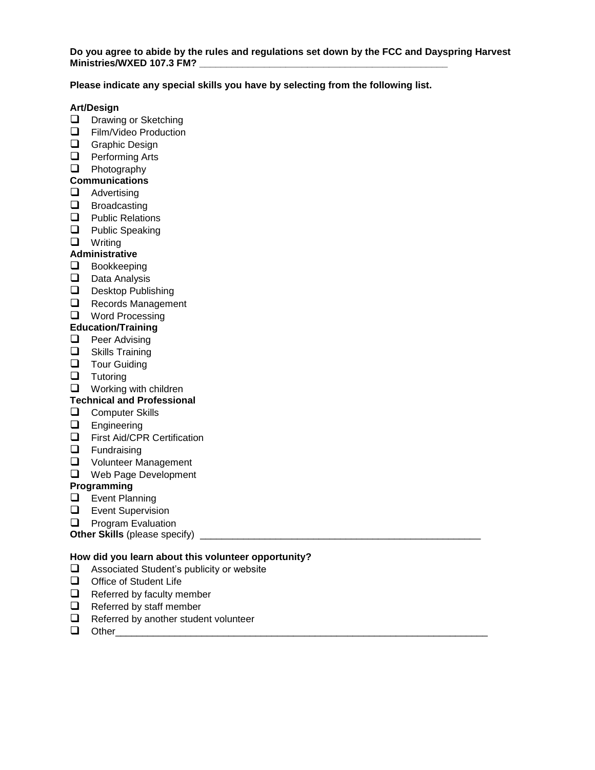## **Please indicate any special skills you have by selecting from the following list.**

## **Art/Design**

- **D** Drawing or Sketching
- $\Box$  Film/Video Production
- **Q** Graphic Design
- **Q** Performing Arts
- **D** Photography

## **Communications**

- $\Box$  Advertising
- $\Box$  Broadcasting
- $\Box$  Public Relations
- **Q** Public Speaking
- **Q** Writing

## **Administrative**

- **Bookkeeping**
- $\Box$  Data Analysis
- $\Box$  Desktop Publishing
- Records Management
- **Q** Word Processing

## **Education/Training**

- $\Box$  Peer Advising
- $\Box$  Skills Training
- $\Box$  Tour Guiding
- $\Box$  Tutoring
- $\Box$  Working with children
- **Technical and Professional**

## **Q** Computer Skills

- **Engineering**
- First Aid/CPR Certification
- **Q** Fundraising
- **Q** Volunteer Management
- Web Page Development

## **Programming**

- **Event Planning**
- **Exent Supervision**
- $\Box$  Program Evaluation

**Other Skills** (please specify) \_\_\_\_\_\_\_\_\_\_\_\_\_\_\_\_\_\_\_\_\_\_\_\_\_\_\_\_\_\_\_\_\_\_\_\_\_\_\_\_\_\_\_\_\_\_\_\_\_\_\_\_

## **How did you learn about this volunteer opportunity?**

- □ Associated Student's publicity or website
- $\Box$  Office of Student Life
- $\Box$  Referred by faculty member
- $\Box$  Referred by staff member
- $\Box$  Referred by another student volunteer
- Other\_\_\_\_\_\_\_\_\_\_\_\_\_\_\_\_\_\_\_\_\_\_\_\_\_\_\_\_\_\_\_\_\_\_\_\_\_\_\_\_\_\_\_\_\_\_\_\_\_\_\_\_\_\_\_\_\_\_\_\_\_\_\_\_\_\_\_\_\_